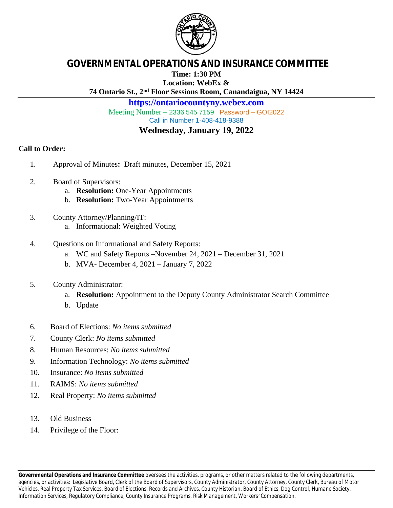

# **GOVERNMENTAL OPERATIONS AND INSURANCE COMMITTEE**

**Time: 1:30 PM**

**Location: WebEx &**

**74 Ontario St., 2nd Floor Sessions Room, Canandaigua, NY 14424**

**<https://ontariocountyny.webex.com>**

Meeting Number – 2336 545 7159 Password – GOI2022 Call in Number 1-408-418-9388

# **Wednesday, January 19, 2022**

## **Call to Order:**

- 1. Approval of Minutes**:** Draft minutes, December 15, 2021
- 2. Board of Supervisors:
	- a. **Resolution:** One-Year Appointments
	- b. **Resolution:** Two-Year Appointments
- 3. County Attorney/Planning/IT: a. Informational: Weighted Voting
	-
- 4. Questions on Informational and Safety Reports:
	- a. WC and Safety Reports –November 24, 2021 December 31, 2021
	- b. MVA- December 4, 2021 January 7, 2022
- 5. County Administrator:
	- a. **Resolution:** Appointment to the Deputy County Administrator Search Committee
	- b. Update
- 6. Board of Elections: *No items submitted*
- 7. County Clerk: *No items submitted*
- 8. Human Resources: *No items submitted*
- 9. Information Technology: *No items submitted*
- 10. Insurance: *No items submitted*
- 11. RAIMS: *No items submitted*
- 12. Real Property: *No items submitted*
- 13. Old Business
- 14. Privilege of the Floor: